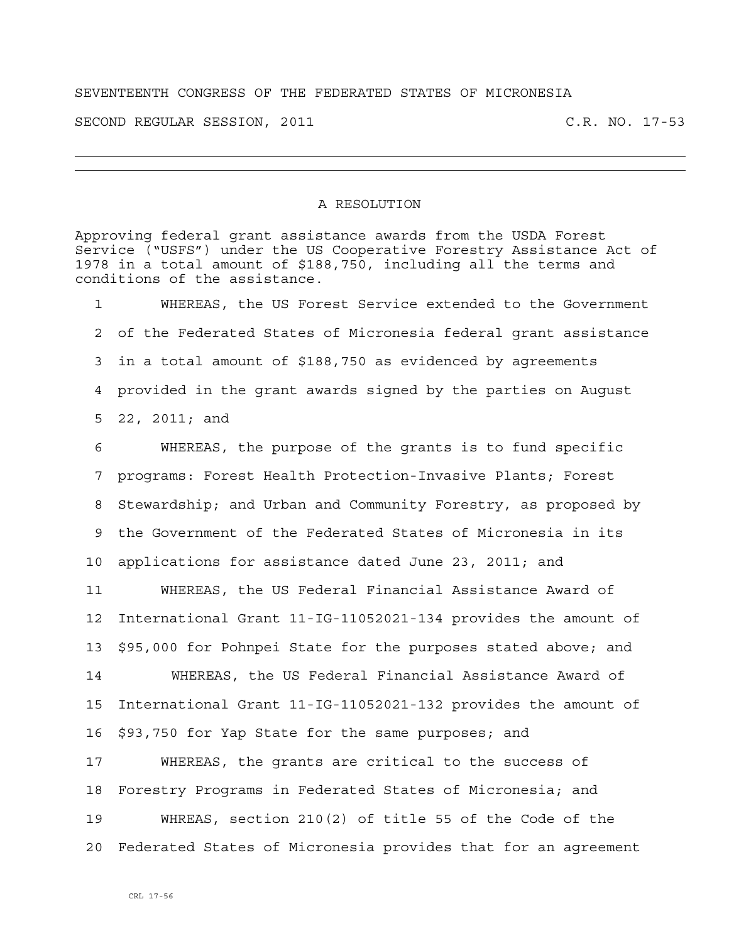SEVENTEENTH CONGRESS OF THE FEDERATED STATES OF MICRONESIA

SECOND REGULAR SESSION, 2011 C.R. NO. 17-53

## A RESOLUTION

Approving federal grant assistance awards from the USDA Forest Service ("USFS") under the US Cooperative Forestry Assistance Act of 1978 in a total amount of \$188,750, including all the terms and conditions of the assistance.

1 WHEREAS, the US Forest Service extended to the Government 2 of the Federated States of Micronesia federal grant assistance 3 in a total amount of \$188,750 as evidenced by agreements 4 provided in the grant awards signed by the parties on August 5 22, 2011; and

6 WHEREAS, the purpose of the grants is to fund specific 7 programs: Forest Health Protection-Invasive Plants; Forest 8 Stewardship; and Urban and Community Forestry, as proposed by 9 the Government of the Federated States of Micronesia in its 10 applications for assistance dated June 23, 2011; and

11 WHEREAS, the US Federal Financial Assistance Award of 12 International Grant 11-IG-11052021-134 provides the amount of 13 \$95,000 for Pohnpei State for the purposes stated above; and 14 WHEREAS, the US Federal Financial Assistance Award of 15 International Grant 11-IG-11052021-132 provides the amount of 16 \$93,750 for Yap State for the same purposes; and 17 WHEREAS, the grants are critical to the success of 18 Forestry Programs in Federated States of Micronesia; and 19 WHREAS, section 210(2) of title 55 of the Code of the 20 Federated States of Micronesia provides that for an agreement

CRL 17-56